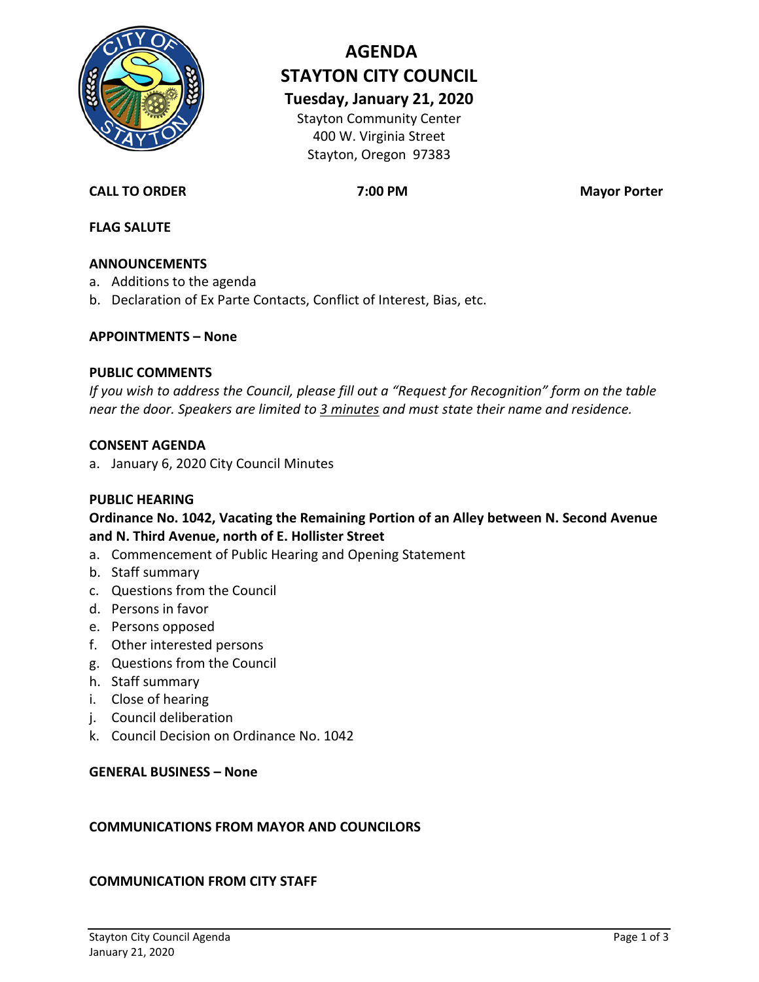

# **AGENDA STAYTON CITY COUNCIL**

**Tuesday, January 21, 2020** Stayton Community Center

400 W. Virginia Street Stayton, Oregon 97383

#### **CALL TO ORDER 7:00 PM Mayor Porter**

#### **FLAG SALUTE**

#### **ANNOUNCEMENTS**

- a. Additions to the agenda
- b. Declaration of Ex Parte Contacts, Conflict of Interest, Bias, etc.

#### **APPOINTMENTS – None**

#### **PUBLIC COMMENTS**

*If you wish to address the Council, please fill out a "Request for Recognition" form on the table near the door. Speakers are limited to 3 minutes and must state their name and residence.*

#### **CONSENT AGENDA**

a. January 6, 2020 City Council Minutes

#### **PUBLIC HEARING**

#### **Ordinance No. 1042, Vacating the Remaining Portion of an Alley between N. Second Avenue and N. Third Avenue, north of E. Hollister Street**

- a. Commencement of Public Hearing and Opening Statement
- b. Staff summary
- c. Questions from the Council
- d. Persons in favor
- e. Persons opposed
- f. Other interested persons
- g. Questions from the Council
- h. Staff summary
- i. Close of hearing
- j. Council deliberation
- k. Council Decision on Ordinance No. 1042

#### **GENERAL BUSINESS – None**

#### **COMMUNICATIONS FROM MAYOR AND COUNCILORS**

#### **COMMUNICATION FROM CITY STAFF**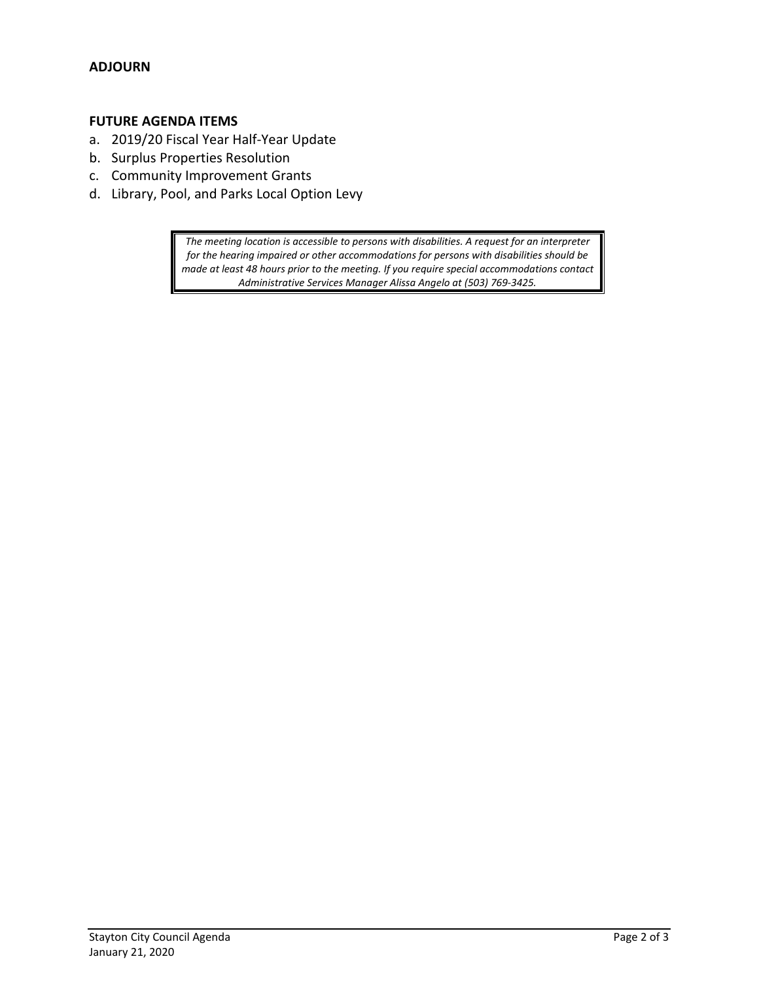#### **FUTURE AGENDA ITEMS**

- a. 2019/20 Fiscal Year Half-Year Update
- b. Surplus Properties Resolution
- c. Community Improvement Grants
- d. Library, Pool, and Parks Local Option Levy

*The meeting location is accessible to persons with disabilities. A request for an interpreter for the hearing impaired or other accommodations for persons with disabilities should be made at least 48 hours prior to the meeting. If you require special accommodations contact Administrative Services Manager Alissa Angelo at (503) 769-3425.*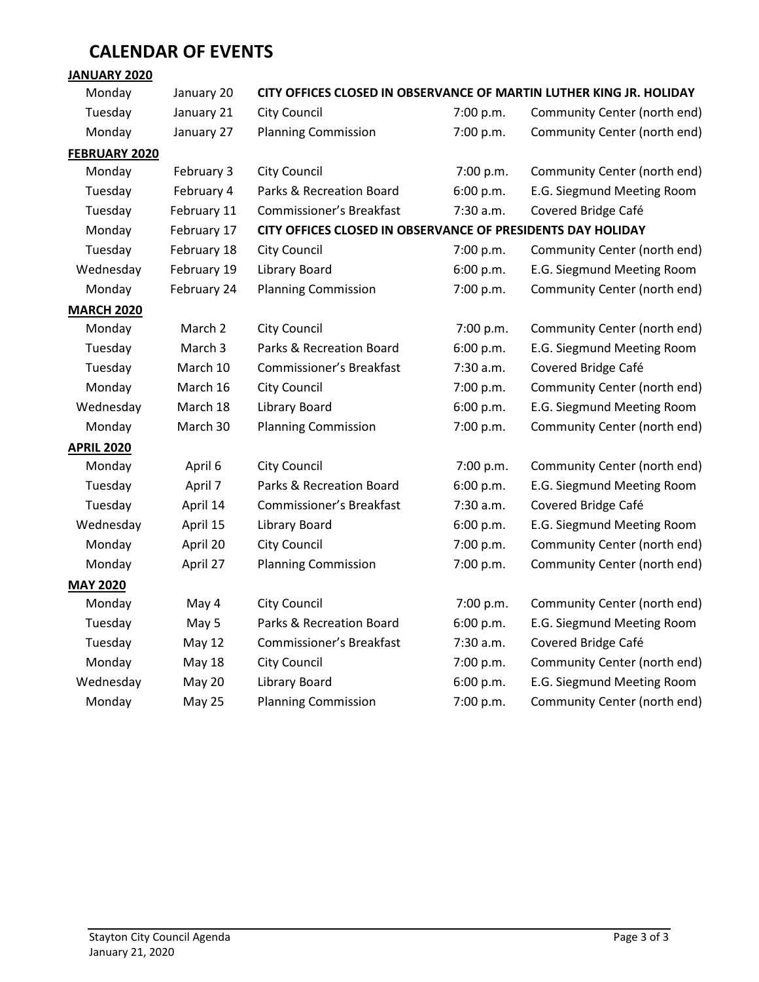## **CALENDAR OF EVENTS**

#### **JANUARY 2020**

### Monday January 20 **CITY OFFICES CLOSED IN OBSERVANCE OF MARTIN LUTHER KING JR. HOLIDAY**

| Tuesday              | January 21    | <b>City Council</b>                                         | 7:00 p.m. | Community Center (north end) |
|----------------------|---------------|-------------------------------------------------------------|-----------|------------------------------|
| Monday               | January 27    | <b>Planning Commission</b>                                  | 7:00 p.m. | Community Center (north end) |
| <b>FEBRUARY 2020</b> |               |                                                             |           |                              |
| Monday               | February 3    | City Council                                                | 7:00 p.m. | Community Center (north end) |
| Tuesday              | February 4    | Parks & Recreation Board                                    | 6:00 p.m. | E.G. Siegmund Meeting Room   |
| Tuesday              | February 11   | <b>Commissioner's Breakfast</b>                             | 7:30 a.m. | Covered Bridge Café          |
| Monday               | February 17   | CITY OFFICES CLOSED IN OBSERVANCE OF PRESIDENTS DAY HOLIDAY |           |                              |
| Tuesday              | February 18   | <b>City Council</b>                                         | 7:00 p.m. | Community Center (north end) |
| Wednesday            | February 19   | <b>Library Board</b>                                        | 6:00 p.m. | E.G. Siegmund Meeting Room   |
| Monday               | February 24   | <b>Planning Commission</b>                                  | 7:00 p.m. | Community Center (north end) |
| <b>MARCH 2020</b>    |               |                                                             |           |                              |
| Monday               | March 2       | City Council                                                | 7:00 p.m. | Community Center (north end) |
| Tuesday              | March 3       | Parks & Recreation Board                                    | 6:00 p.m. | E.G. Siegmund Meeting Room   |
| Tuesday              | March 10      | Commissioner's Breakfast                                    | 7:30 a.m. | Covered Bridge Café          |
| Monday               | March 16      | City Council                                                | 7:00 p.m. | Community Center (north end) |
| Wednesday            | March 18      | Library Board                                               | 6:00 p.m. | E.G. Siegmund Meeting Room   |
| Monday               | March 30      | <b>Planning Commission</b>                                  | 7:00 p.m. | Community Center (north end) |
| <b>APRIL 2020</b>    |               |                                                             |           |                              |
| Monday               | April 6       | <b>City Council</b>                                         | 7:00 p.m. | Community Center (north end) |
| Tuesday              | April 7       | Parks & Recreation Board                                    | 6:00 p.m. | E.G. Siegmund Meeting Room   |
| Tuesday              | April 14      | Commissioner's Breakfast                                    | 7:30 a.m. | Covered Bridge Café          |
| Wednesday            | April 15      | Library Board                                               | 6:00 p.m. | E.G. Siegmund Meeting Room   |
| Monday               | April 20      | City Council                                                | 7:00 p.m. | Community Center (north end) |
| Monday               | April 27      | <b>Planning Commission</b>                                  | 7:00 p.m. | Community Center (north end) |
| <b>MAY 2020</b>      |               |                                                             |           |                              |
| Monday               | May 4         | <b>City Council</b>                                         | 7:00 p.m. | Community Center (north end) |
| Tuesday              | May 5         | Parks & Recreation Board                                    | 6:00 p.m. | E.G. Siegmund Meeting Room   |
| Tuesday              | <b>May 12</b> | Commissioner's Breakfast                                    | 7:30 a.m. | Covered Bridge Café          |
| Monday               | <b>May 18</b> | City Council                                                | 7:00 p.m. | Community Center (north end) |
| Wednesday            | <b>May 20</b> | Library Board                                               | 6:00 p.m. | E.G. Siegmund Meeting Room   |
| Monday               | <b>May 25</b> | <b>Planning Commission</b>                                  | 7:00 p.m. | Community Center (north end) |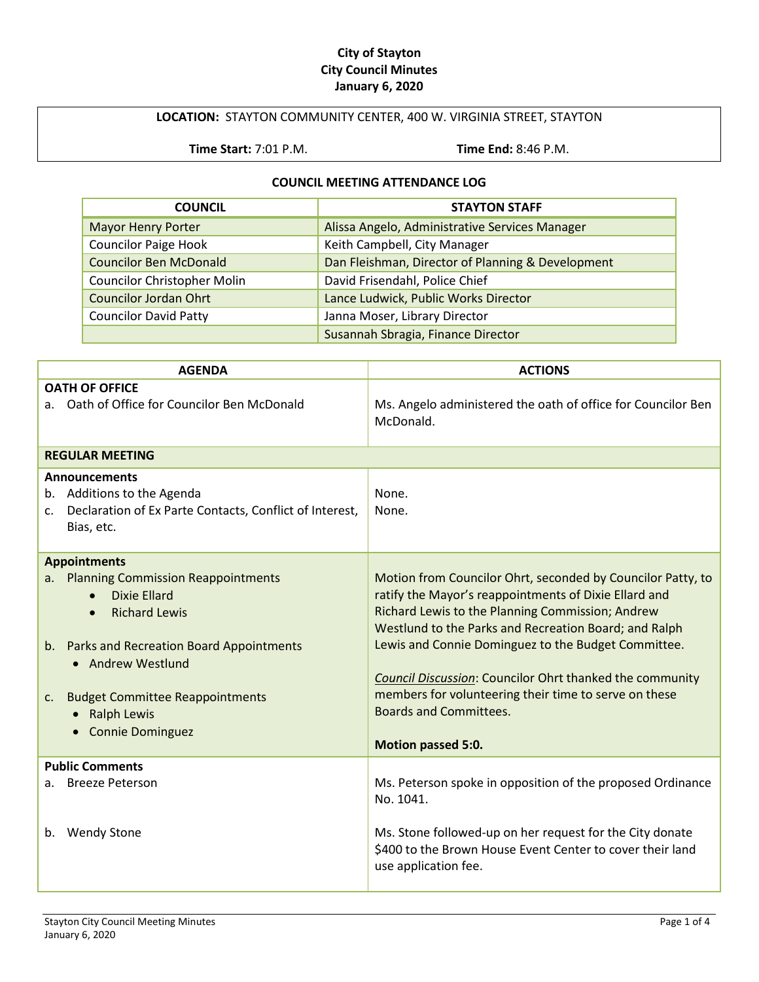#### **City of Stayton City Council Minutes January 6, 2020**

#### **LOCATION:** STAYTON COMMUNITY CENTER, 400 W. VIRGINIA STREET, STAYTON

**Time Start:** 7:01 P.M. **Time End:** 8:46 P.M.

#### **COUNCIL MEETING ATTENDANCE LOG**

| <b>COUNCIL</b>                     | <b>STAYTON STAFF</b>                              |
|------------------------------------|---------------------------------------------------|
| <b>Mayor Henry Porter</b>          | Alissa Angelo, Administrative Services Manager    |
| <b>Councilor Paige Hook</b>        | Keith Campbell, City Manager                      |
| <b>Councilor Ben McDonald</b>      | Dan Fleishman, Director of Planning & Development |
| <b>Councilor Christopher Molin</b> | David Frisendahl, Police Chief                    |
| <b>Councilor Jordan Ohrt</b>       | Lance Ludwick, Public Works Director              |
| <b>Councilor David Patty</b>       | Janna Moser, Library Director                     |
|                                    | Susannah Sbragia, Finance Director                |

| <b>AGENDA</b>                                                                                                                                                                                                                                                             | <b>ACTIONS</b>                                                                                                                                                                                                                                                                                                                                                                                                                                                                     |
|---------------------------------------------------------------------------------------------------------------------------------------------------------------------------------------------------------------------------------------------------------------------------|------------------------------------------------------------------------------------------------------------------------------------------------------------------------------------------------------------------------------------------------------------------------------------------------------------------------------------------------------------------------------------------------------------------------------------------------------------------------------------|
| <b>OATH OF OFFICE</b><br>a. Oath of Office for Councilor Ben McDonald                                                                                                                                                                                                     | Ms. Angelo administered the oath of office for Councilor Ben<br>McDonald.                                                                                                                                                                                                                                                                                                                                                                                                          |
| <b>REGULAR MEETING</b>                                                                                                                                                                                                                                                    |                                                                                                                                                                                                                                                                                                                                                                                                                                                                                    |
| <b>Announcements</b><br>b. Additions to the Agenda<br>Declaration of Ex Parte Contacts, Conflict of Interest,<br>C.<br>Bias, etc.                                                                                                                                         | None.<br>None.                                                                                                                                                                                                                                                                                                                                                                                                                                                                     |
| <b>Appointments</b>                                                                                                                                                                                                                                                       |                                                                                                                                                                                                                                                                                                                                                                                                                                                                                    |
| a. Planning Commission Reappointments<br><b>Dixie Ellard</b><br>$\bullet$<br><b>Richard Lewis</b><br>b. Parks and Recreation Board Appointments<br>• Andrew Westlund<br><b>Budget Committee Reappointments</b><br>$c_{\cdot}$<br><b>Ralph Lewis</b><br>• Connie Dominguez | Motion from Councilor Ohrt, seconded by Councilor Patty, to<br>ratify the Mayor's reappointments of Dixie Ellard and<br>Richard Lewis to the Planning Commission; Andrew<br>Westlund to the Parks and Recreation Board; and Ralph<br>Lewis and Connie Dominguez to the Budget Committee.<br><b>Council Discussion: Councilor Ohrt thanked the community</b><br>members for volunteering their time to serve on these<br><b>Boards and Committees.</b><br><b>Motion passed 5:0.</b> |
| <b>Public Comments</b>                                                                                                                                                                                                                                                    |                                                                                                                                                                                                                                                                                                                                                                                                                                                                                    |
| <b>Breeze Peterson</b><br>a.<br><b>Wendy Stone</b><br>b.                                                                                                                                                                                                                  | Ms. Peterson spoke in opposition of the proposed Ordinance<br>No. 1041.<br>Ms. Stone followed-up on her request for the City donate<br>\$400 to the Brown House Event Center to cover their land<br>use application fee.                                                                                                                                                                                                                                                           |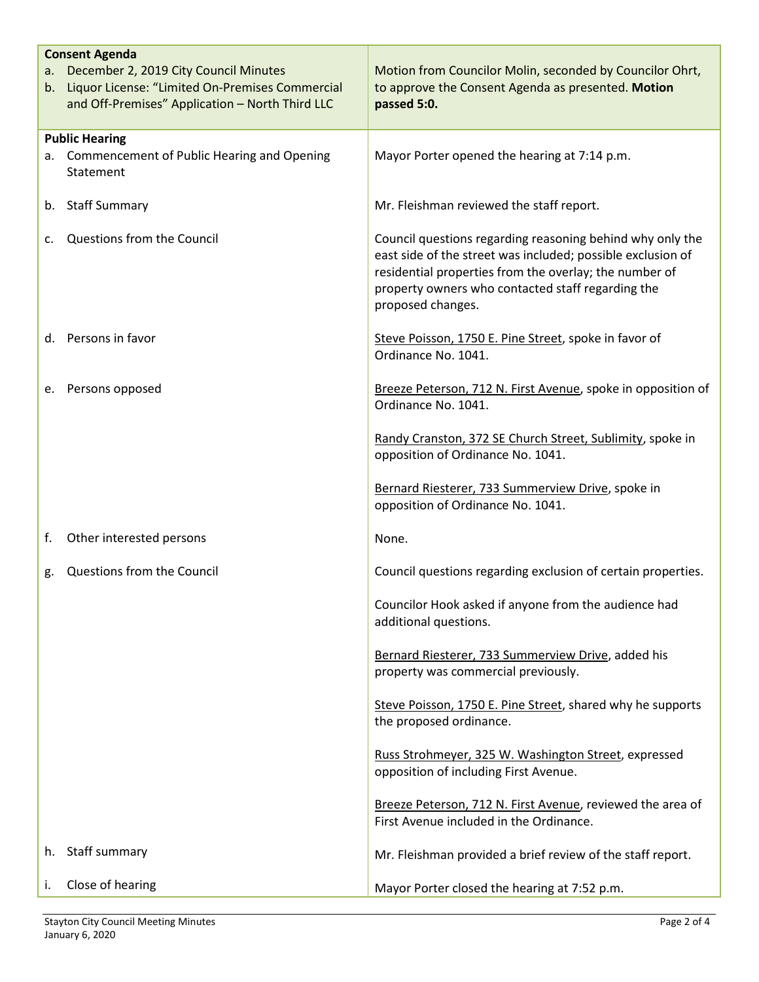| а. – | <b>Consent Agenda</b><br>December 2, 2019 City Council Minutes<br>b. Liquor License: "Limited On-Premises Commercial<br>and Off-Premises" Application - North Third LLC | Motion from Councilor Molin, seconded by Councilor Ohrt,<br>to approve the Consent Agenda as presented. Motion<br>passed 5:0.                                                                                                                                |
|------|-------------------------------------------------------------------------------------------------------------------------------------------------------------------------|--------------------------------------------------------------------------------------------------------------------------------------------------------------------------------------------------------------------------------------------------------------|
|      | <b>Public Hearing</b><br>a. Commencement of Public Hearing and Opening<br>Statement                                                                                     | Mayor Porter opened the hearing at 7:14 p.m.                                                                                                                                                                                                                 |
|      | b. Staff Summary                                                                                                                                                        | Mr. Fleishman reviewed the staff report.                                                                                                                                                                                                                     |
| c.   | Questions from the Council                                                                                                                                              | Council questions regarding reasoning behind why only the<br>east side of the street was included; possible exclusion of<br>residential properties from the overlay; the number of<br>property owners who contacted staff regarding the<br>proposed changes. |
|      | d. Persons in favor                                                                                                                                                     | Steve Poisson, 1750 E. Pine Street, spoke in favor of<br>Ordinance No. 1041.                                                                                                                                                                                 |
|      | e. Persons opposed                                                                                                                                                      | Breeze Peterson, 712 N. First Avenue, spoke in opposition of<br>Ordinance No. 1041.                                                                                                                                                                          |
|      |                                                                                                                                                                         | Randy Cranston, 372 SE Church Street, Sublimity, spoke in<br>opposition of Ordinance No. 1041.                                                                                                                                                               |
|      |                                                                                                                                                                         | Bernard Riesterer, 733 Summerview Drive, spoke in<br>opposition of Ordinance No. 1041.                                                                                                                                                                       |
| f.   | Other interested persons                                                                                                                                                | None.                                                                                                                                                                                                                                                        |
| g.   | Questions from the Council                                                                                                                                              | Council questions regarding exclusion of certain properties.                                                                                                                                                                                                 |
|      |                                                                                                                                                                         | Councilor Hook asked if anyone from the audience had<br>additional questions.                                                                                                                                                                                |
|      |                                                                                                                                                                         | Bernard Riesterer, 733 Summerview Drive, added his<br>property was commercial previously.                                                                                                                                                                    |
|      |                                                                                                                                                                         | Steve Poisson, 1750 E. Pine Street, shared why he supports<br>the proposed ordinance.                                                                                                                                                                        |
|      |                                                                                                                                                                         | Russ Strohmeyer, 325 W. Washington Street, expressed<br>opposition of including First Avenue.                                                                                                                                                                |
|      |                                                                                                                                                                         | Breeze Peterson, 712 N. First Avenue, reviewed the area of<br>First Avenue included in the Ordinance.                                                                                                                                                        |
| h.   | Staff summary                                                                                                                                                           | Mr. Fleishman provided a brief review of the staff report.                                                                                                                                                                                                   |
| i.   | Close of hearing                                                                                                                                                        | Mayor Porter closed the hearing at 7:52 p.m.                                                                                                                                                                                                                 |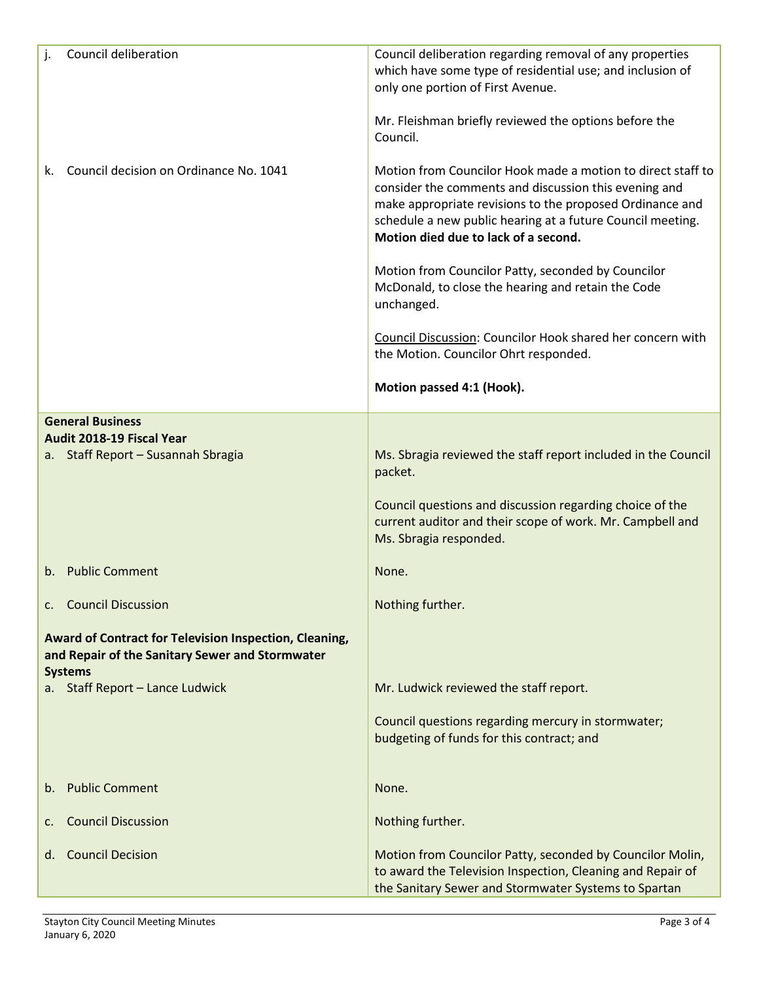| Council deliberation                                                                                                        | Council deliberation regarding removal of any properties<br>which have some type of residential use; and inclusion of<br>only one portion of First Avenue.<br>Mr. Fleishman briefly reviewed the options before the<br>Council.                                                        |
|-----------------------------------------------------------------------------------------------------------------------------|----------------------------------------------------------------------------------------------------------------------------------------------------------------------------------------------------------------------------------------------------------------------------------------|
| Council decision on Ordinance No. 1041<br>k.                                                                                | Motion from Councilor Hook made a motion to direct staff to<br>consider the comments and discussion this evening and<br>make appropriate revisions to the proposed Ordinance and<br>schedule a new public hearing at a future Council meeting.<br>Motion died due to lack of a second. |
|                                                                                                                             | Motion from Councilor Patty, seconded by Councilor<br>McDonald, to close the hearing and retain the Code<br>unchanged.                                                                                                                                                                 |
|                                                                                                                             | Council Discussion: Councilor Hook shared her concern with<br>the Motion. Councilor Ohrt responded.                                                                                                                                                                                    |
|                                                                                                                             | Motion passed 4:1 (Hook).                                                                                                                                                                                                                                                              |
| <b>General Business</b>                                                                                                     |                                                                                                                                                                                                                                                                                        |
| Audit 2018-19 Fiscal Year<br>a. Staff Report - Susannah Sbragia                                                             | Ms. Sbragia reviewed the staff report included in the Council<br>packet.                                                                                                                                                                                                               |
|                                                                                                                             | Council questions and discussion regarding choice of the<br>current auditor and their scope of work. Mr. Campbell and<br>Ms. Sbragia responded.                                                                                                                                        |
| <b>Public Comment</b><br>$h_{\cdot}$                                                                                        | None.                                                                                                                                                                                                                                                                                  |
| c. Council Discussion                                                                                                       | Nothing further.                                                                                                                                                                                                                                                                       |
| Award of Contract for Television Inspection, Cleaning,<br>and Repair of the Sanitary Sewer and Stormwater<br><b>Systems</b> |                                                                                                                                                                                                                                                                                        |
| a. Staff Report - Lance Ludwick                                                                                             | Mr. Ludwick reviewed the staff report.                                                                                                                                                                                                                                                 |
|                                                                                                                             | Council questions regarding mercury in stormwater;<br>budgeting of funds for this contract; and                                                                                                                                                                                        |
| <b>Public Comment</b><br>b.                                                                                                 | None.                                                                                                                                                                                                                                                                                  |
| <b>Council Discussion</b><br>c.                                                                                             | Nothing further.                                                                                                                                                                                                                                                                       |
| <b>Council Decision</b><br>d.                                                                                               | Motion from Councilor Patty, seconded by Councilor Molin,<br>to award the Television Inspection, Cleaning and Repair of<br>the Sanitary Sewer and Stormwater Systems to Spartan                                                                                                        |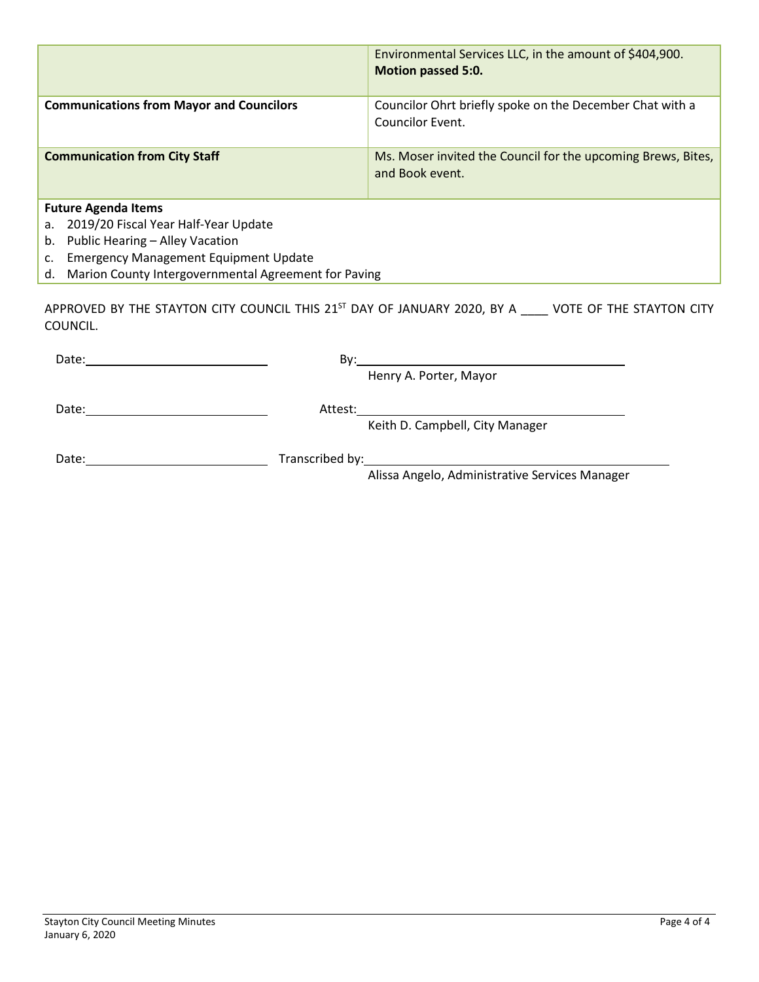|                                                            | Environmental Services LLC, in the amount of \$404,900.<br><b>Motion passed 5:0.</b> |  |
|------------------------------------------------------------|--------------------------------------------------------------------------------------|--|
| <b>Communications from Mayor and Councilors</b>            | Councilor Ohrt briefly spoke on the December Chat with a<br><b>Councilor Event.</b>  |  |
| <b>Communication from City Staff</b>                       | Ms. Moser invited the Council for the upcoming Brews, Bites,<br>and Book event.      |  |
| <b>Future Agenda Items</b>                                 |                                                                                      |  |
| 2019/20 Fiscal Year Half-Year Update<br>а.                 |                                                                                      |  |
| Public Hearing - Alley Vacation<br>b.                      |                                                                                      |  |
| <b>Emergency Management Equipment Update</b><br>c.         |                                                                                      |  |
| Marion County Intergovernmental Agreement for Paving<br>d. |                                                                                      |  |

APPROVED BY THE STAYTON CITY COUNCIL THIS  $21^{57}$  DAY OF JANUARY 2020, BY A  $\_\_\_\_\_\$ VOTE OF THE STAYTON CITY COUNCIL.

| Date: | Bv:                                                                                                                       |
|-------|---------------------------------------------------------------------------------------------------------------------------|
|       | Henry A. Porter, Mayor                                                                                                    |
| Date: | Attest:<br>Keith D. Campbell, City Manager                                                                                |
| Date: | Transcribed by:<br><u> 1989 - Johann Stein, Amerikaansk politiker (</u><br>Alissa Angelo, Administrative Services Manager |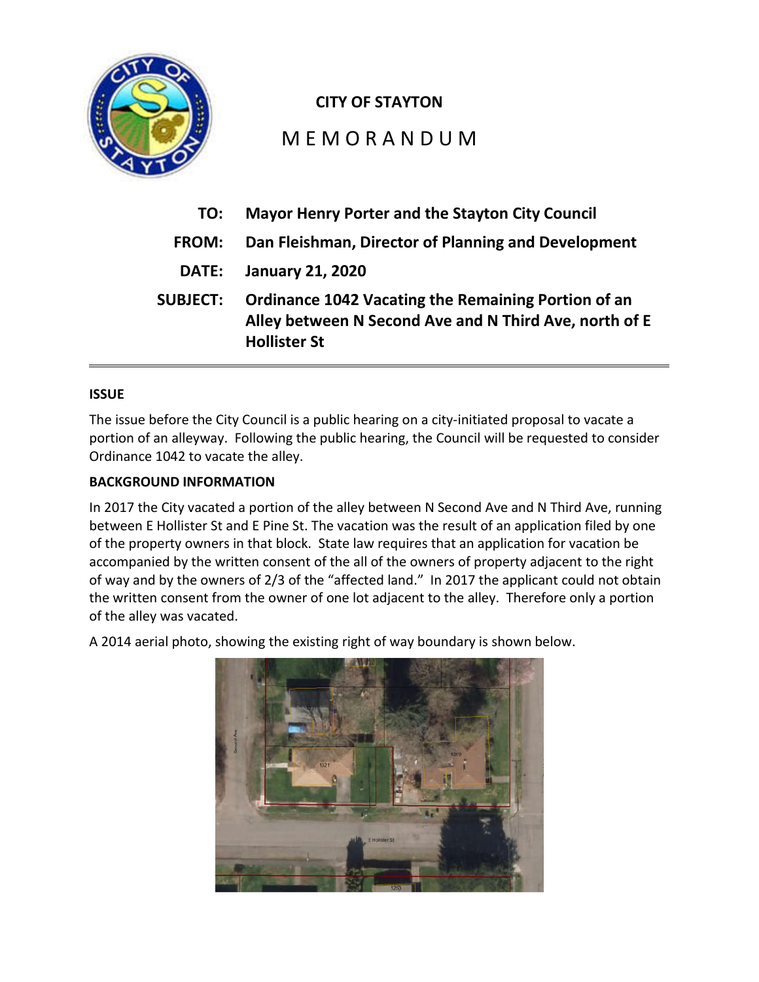

### **CITY OF STAYTON**

# M E M O R A N D U M

| TO:             | <b>Mayor Henry Porter and the Stayton City Council</b>                                                                                      |
|-----------------|---------------------------------------------------------------------------------------------------------------------------------------------|
| <b>FROM:</b>    | Dan Fleishman, Director of Planning and Development                                                                                         |
|                 | <b>DATE:</b> January 21, 2020                                                                                                               |
| <b>SUBJECT:</b> | <b>Ordinance 1042 Vacating the Remaining Portion of an</b><br>Alley between N Second Ave and N Third Ave, north of E<br><b>Hollister St</b> |

#### **ISSUE**

The issue before the City Council is a public hearing on a city-initiated proposal to vacate a portion of an alleyway. Following the public hearing, the Council will be requested to consider Ordinance 1042 to vacate the alley.

#### **BACKGROUND INFORMATION**

In 2017 the City vacated a portion of the alley between N Second Ave and N Third Ave, running between E Hollister St and E Pine St. The vacation was the result of an application filed by one of the property owners in that block. State law requires that an application for vacation be accompanied by the written consent of the all of the owners of property adjacent to the right of way and by the owners of 2/3 of the "affected land." In 2017 the applicant could not obtain the written consent from the owner of one lot adjacent to the alley. Therefore only a portion of the alley was vacated.

A 2014 aerial photo, showing the existing right of way boundary is shown below.

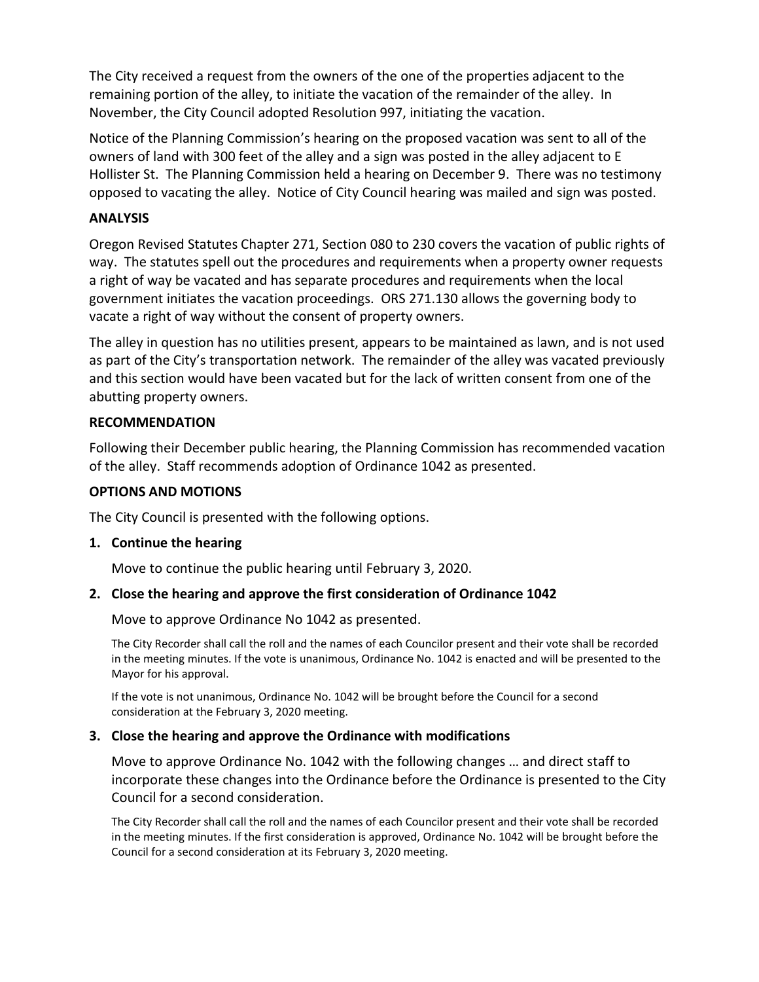The City received a request from the owners of the one of the properties adjacent to the remaining portion of the alley, to initiate the vacation of the remainder of the alley. In November, the City Council adopted Resolution 997, initiating the vacation.

Notice of the Planning Commission's hearing on the proposed vacation was sent to all of the owners of land with 300 feet of the alley and a sign was posted in the alley adjacent to E Hollister St. The Planning Commission held a hearing on December 9. There was no testimony opposed to vacating the alley. Notice of City Council hearing was mailed and sign was posted.

#### **ANALYSIS**

Oregon Revised Statutes Chapter 271, Section 080 to 230 covers the vacation of public rights of way. The statutes spell out the procedures and requirements when a property owner requests a right of way be vacated and has separate procedures and requirements when the local government initiates the vacation proceedings. ORS 271.130 allows the governing body to vacate a right of way without the consent of property owners.

The alley in question has no utilities present, appears to be maintained as lawn, and is not used as part of the City's transportation network. The remainder of the alley was vacated previously and this section would have been vacated but for the lack of written consent from one of the abutting property owners.

#### **RECOMMENDATION**

Following their December public hearing, the Planning Commission has recommended vacation of the alley. Staff recommends adoption of Ordinance 1042 as presented.

#### **OPTIONS AND MOTIONS**

The City Council is presented with the following options.

#### **1. Continue the hearing**

Move to continue the public hearing until February 3, 2020.

#### **2. Close the hearing and approve the first consideration of Ordinance 1042**

Move to approve Ordinance No 1042 as presented.

The City Recorder shall call the roll and the names of each Councilor present and their vote shall be recorded in the meeting minutes. If the vote is unanimous, Ordinance No. 1042 is enacted and will be presented to the Mayor for his approval.

If the vote is not unanimous, Ordinance No. 1042 will be brought before the Council for a second consideration at the February 3, 2020 meeting.

#### **3. Close the hearing and approve the Ordinance with modifications**

Move to approve Ordinance No. 1042 with the following changes … and direct staff to incorporate these changes into the Ordinance before the Ordinance is presented to the City Council for a second consideration.

The City Recorder shall call the roll and the names of each Councilor present and their vote shall be recorded in the meeting minutes. If the first consideration is approved, Ordinance No. 1042 will be brought before the Council for a second consideration at its February 3, 2020 meeting.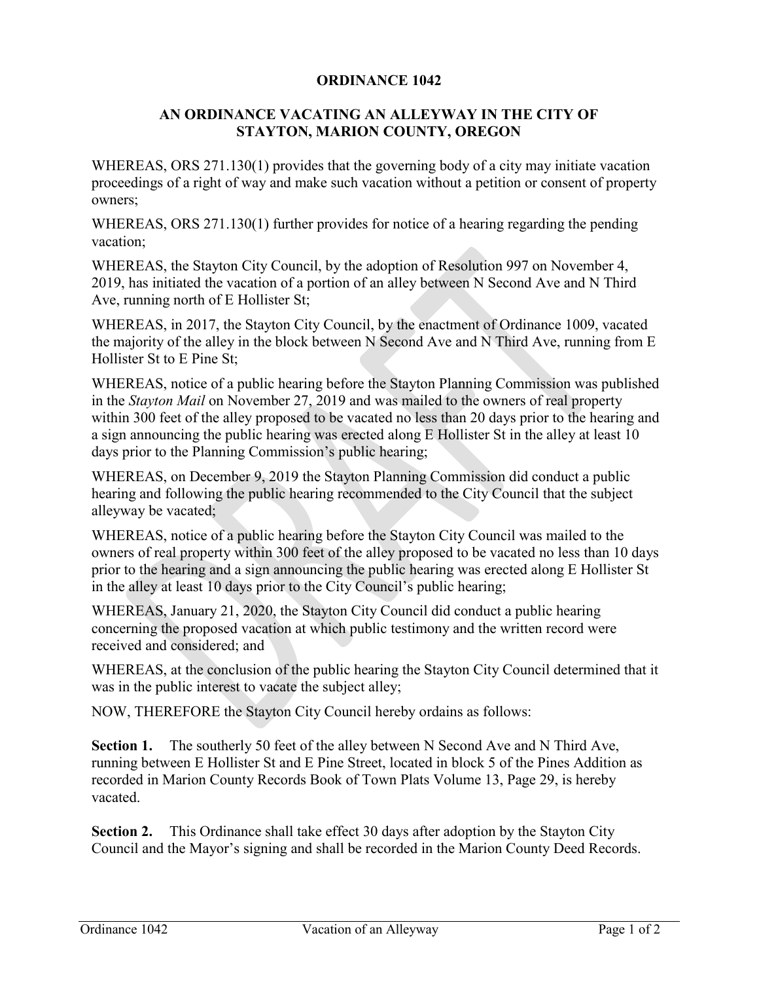#### **ORDINANCE 1042**

#### **AN ORDINANCE VACATING AN ALLEYWAY IN THE CITY OF STAYTON, MARION COUNTY, OREGON**

WHEREAS, ORS 271.130(1) provides that the governing body of a city may initiate vacation proceedings of a right of way and make such vacation without a petition or consent of property owners;

WHEREAS, ORS 271.130(1) further provides for notice of a hearing regarding the pending vacation;

WHEREAS, the Stayton City Council, by the adoption of Resolution 997 on November 4, 2019, has initiated the vacation of a portion of an alley between N Second Ave and N Third Ave, running north of E Hollister St;

WHEREAS, in 2017, the Stayton City Council, by the enactment of Ordinance 1009, vacated the majority of the alley in the block between N Second Ave and N Third Ave, running from E Hollister St to E Pine St;

WHEREAS, notice of a public hearing before the Stayton Planning Commission was published in the *Stayton Mail* on November 27, 2019 and was mailed to the owners of real property within 300 feet of the alley proposed to be vacated no less than 20 days prior to the hearing and a sign announcing the public hearing was erected along E Hollister St in the alley at least 10 days prior to the Planning Commission's public hearing;

WHEREAS, on December 9, 2019 the Stayton Planning Commission did conduct a public hearing and following the public hearing recommended to the City Council that the subject alleyway be vacated;

WHEREAS, notice of a public hearing before the Stayton City Council was mailed to the owners of real property within 300 feet of the alley proposed to be vacated no less than 10 days prior to the hearing and a sign announcing the public hearing was erected along E Hollister St in the alley at least 10 days prior to the City Council's public hearing;

WHEREAS, January 21, 2020, the Stayton City Council did conduct a public hearing concerning the proposed vacation at which public testimony and the written record were received and considered; and

WHEREAS, at the conclusion of the public hearing the Stayton City Council determined that it was in the public interest to vacate the subject alley;

NOW, THEREFORE the Stayton City Council hereby ordains as follows:

**Section 1.** The southerly 50 feet of the alley between N Second Ave and N Third Ave, running between E Hollister St and E Pine Street, located in block 5 of the Pines Addition as recorded in Marion County Records Book of Town Plats Volume 13, Page 29, is hereby vacated.

**Section 2.** This Ordinance shall take effect 30 days after adoption by the Stayton City Council and the Mayor's signing and shall be recorded in the Marion County Deed Records.